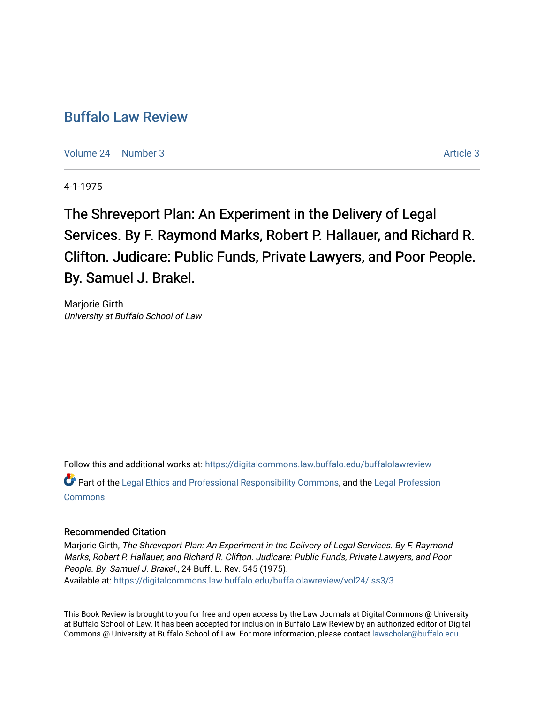# [Buffalo Law Review](https://digitalcommons.law.buffalo.edu/buffalolawreview)

[Volume 24](https://digitalcommons.law.buffalo.edu/buffalolawreview/vol24) | [Number 3](https://digitalcommons.law.buffalo.edu/buffalolawreview/vol24/iss3) [Article 3](https://digitalcommons.law.buffalo.edu/buffalolawreview/vol24/iss3/3) Article 3

4-1-1975

The Shreveport Plan: An Experiment in the Delivery of Legal Services. By F. Raymond Marks, Robert P. Hallauer, and Richard R. Clifton. Judicare: Public Funds, Private Lawyers, and Poor People. By. Samuel J. Brakel.

Marjorie Girth University at Buffalo School of Law

Follow this and additional works at: [https://digitalcommons.law.buffalo.edu/buffalolawreview](https://digitalcommons.law.buffalo.edu/buffalolawreview?utm_source=digitalcommons.law.buffalo.edu%2Fbuffalolawreview%2Fvol24%2Fiss3%2F3&utm_medium=PDF&utm_campaign=PDFCoverPages)  Part of the [Legal Ethics and Professional Responsibility Commons](http://network.bepress.com/hgg/discipline/895?utm_source=digitalcommons.law.buffalo.edu%2Fbuffalolawreview%2Fvol24%2Fiss3%2F3&utm_medium=PDF&utm_campaign=PDFCoverPages), and the [Legal Profession](http://network.bepress.com/hgg/discipline/1075?utm_source=digitalcommons.law.buffalo.edu%2Fbuffalolawreview%2Fvol24%2Fiss3%2F3&utm_medium=PDF&utm_campaign=PDFCoverPages) [Commons](http://network.bepress.com/hgg/discipline/1075?utm_source=digitalcommons.law.buffalo.edu%2Fbuffalolawreview%2Fvol24%2Fiss3%2F3&utm_medium=PDF&utm_campaign=PDFCoverPages)

### Recommended Citation

Marjorie Girth, The Shreveport Plan: An Experiment in the Delivery of Legal Services. By F. Raymond Marks, Robert P. Hallauer, and Richard R. Clifton. Judicare: Public Funds, Private Lawyers, and Poor People. By. Samuel J. Brakel., 24 Buff. L. Rev. 545 (1975). Available at: [https://digitalcommons.law.buffalo.edu/buffalolawreview/vol24/iss3/3](https://digitalcommons.law.buffalo.edu/buffalolawreview/vol24/iss3/3?utm_source=digitalcommons.law.buffalo.edu%2Fbuffalolawreview%2Fvol24%2Fiss3%2F3&utm_medium=PDF&utm_campaign=PDFCoverPages) 

This Book Review is brought to you for free and open access by the Law Journals at Digital Commons @ University at Buffalo School of Law. It has been accepted for inclusion in Buffalo Law Review by an authorized editor of Digital Commons @ University at Buffalo School of Law. For more information, please contact [lawscholar@buffalo.edu](mailto:lawscholar@buffalo.edu).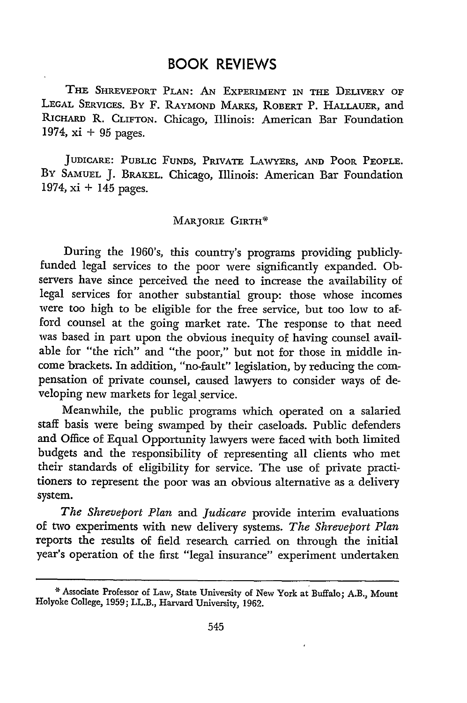## BOOK REVIEWS

THE SHREVEPORT **PLAN:** AN EXPERIMENT IN THE DELIVERY OF **LEGAL** SERVICES. By F. RAYMOND MARKS, ROBERT P. HALLAUER, and RICHARD R. **CLIFTON.** Chicago, Illinois: American Bar Foundation 1974, xi + **95** pages.

JUDICARE: PUBLIC **FUNDS,** PRIVATE LAWYERS, **AND** POOR **PEOPLE.** BY SAMUEL J. BRAKEL. Chicago, Illinois: American Bar Foundation 1974, xi **+** 145 pages.

#### MARJORIE GIRTH\*

During the 1960's, this country's programs providing publiclyfunded legal services to the poor were significantly expanded. Observers have since perceived the need to increase the availability of legal services for another substantial group: those whose incomes were too high to be eligible for the free service, but too low to afford counsel at the going market rate. The response to that need was based in part upon the obvious inequity of having counsel available for "the rich" and "the poor," but not for those in middle income brackets. In addition, "no-fault" legislation, by reducing the compensation of private counsel, caused lawyers to consider ways of developing new markets for legal service.

Meanwhile, the public programs which operated on a salaried staff basis were being swamped by their caseloads. Public defenders and Office of Equal Opportunity lawyers were faced with both limited budgets and the responsibility of representing all clients who met their standards of eligibility for service. The use of private practitioners to represent the poor was an obvious alternative as a delivery system.

*The Shreveport Plan* and *Judicare* provide interim evaluations of two experiments with new delivery systems. *The Shreveport Plan* reports the results of field research carried on through the initial year's operation of the first "legal insurance" experiment undertaken

Associate Professor of Law, State University of New York at Buffalo; A.B., Mount Holyoke College, **1959;** LL.B., Harvard University, **1962.**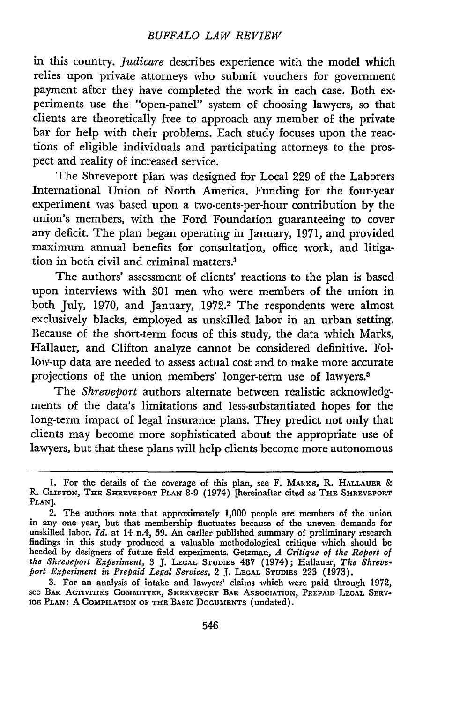#### *BUFFALO LAW REVIEW*

in this country. *Judicare* describes experience with the model which relies upon private attorneys who submit vouchers for government payment after they have completed the work in each case. Both experiments use the "open-panel" system of choosing lawyers, so that clients are theoretically free to approach any member of the private bar for help with their problems. Each study focuses upon the reactions of eligible individuals and participating attorneys to the prospect and reality of increased service.

The Shreveport plan was designed for Local 229 of the Laborers International Union of North America. Funding for the four-year experiment was based upon a two-cents-per-hour contribution by the union's members, with the Ford Foundation guaranteeing to cover any deficit. The plan began operating in January, 1971, and provided maximum annual benefits for consultation, office work, and litigation in both civil and criminal matters.'

The authors' assessment of clients' reactions to the plan is based upon interviews with 301 men who were members of the union in both July, 1970, and January, 1972.<sup>2</sup> The respondents were almost exclusively blacks, employed as unskilled labor in an urban setting. Because of the short-term focus of this study, the data which Marks, Hallauer, and Clifton analyze cannot be considered definitive. Follow-up data are needed to assess actual cost and to make more accurate projections of the union members' longer-term use of lawyers.8

The *Shreveport* authors alternate between realistic acknowledgments of the data's limitations and less-substantiated hopes for the long-term impact of legal insurance plans. They predict not only that clients may become more sophisticated about the appropriate use of lawyers, but that these plans will help clients become more autonomous

**<sup>1.</sup>** For the details of the coverage of this plan, see F. MARKs, R. **HALLAUER** & R. **CLIFTON,** THE **SHREVEPORT PLAN 8-9** (1974) [hereinafter cited as THE **SHREVEPORT PLAN].**

<sup>2.</sup> The authors note that approximately **1,000** people are members of the union in any one year, but that membership fluctuates because of the uneven demands for unskilled labor. *Id.* at 14 n.4, **59.** An earlier published summary of preliminary research findings in this study produced a valuable methodological critique which should be heeded **by** designers of future field experiments. Getzman, *A Critique of the Report of the Shreveport Experiment,* 3 **J. LEGAL STUDIES** 487 (1974); Hallauer, *The Shreveport Experiment in Prepaid Legal Services,* 2 **J.** LEGAL STUDIES 223 (1973).

<sup>3.</sup> For an analysis of intake and lawyers' claims which were paid through 1972, see BAR ACTIVITIES COMMITTEE, SHREVEPORT **BAR ASSOCIATION,** PREPAID LEGAL SERV-**ICE PLAN:** A **COMPILATION OF THE BASIC DOCUMENTS** (undated).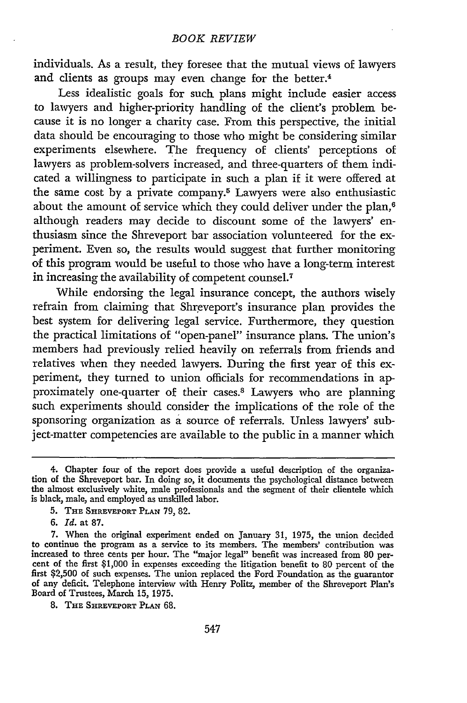individuals. As a result, they foresee that the mutual views of lawyers and clients as groups may even change for the better.<sup>4</sup>

Less idealistic goals for such plans might include easier access to lawyers and higher-priority handling of the client's problem because it is no longer a charity case. From this perspective, the initial data should be encouraging to those who might be considering similar experiments elsewhere. The frequency of clients' perceptions of lawyers as problem-solvers increased, and three-quarters of them indicated a willingness to participate in such a plan if it were offered at the same cost by a private company.<sup>5</sup> Lawyers were also enthusiastic about the amount of service which they could deliver under the plan,<sup>6</sup> although readers may decide to discount some of the lawyers' enthusiasm since the Shreveport bar association volunteered for the experiment. Even so, the results would suggest that further monitoring of this program would be useful to those who have a long-term interest in increasing the availability of competent counsel.<sup>7</sup>

While endorsing the legal insurance concept, the authors wisely refrain from claiming that Shreveport's insurance plan provides the best system for delivering legal service. Furthermore, they question the practical limitations of "open-panel" insurance plans. The union's members had previously relied heavily on referrals from friends and relatives when they needed lawyers. During the first year of this experiment, they turned to union officials for recommendations in approximately one-quarter of their cases.8 Lawyers who are planning such experiments should consider the implications of the role of the sponsoring organization as a source of referrals. Unless lawyers' subject-matter competencies are available to the public in a manner which

<sup>4.</sup> Chapter four of the report does provide a useful description of the organization of the Shreveport bar. In doing so, it documents the psychological distance between the almost exclusively white, male professionals and the segment of their clientele which is black, male, and employed as unskilled labor.

**<sup>5.</sup>** THE SHREVEPORT PLAN 79, 82.

**<sup>6.</sup>** *Id.* at 87.

<sup>7.</sup> When the original experiment ended on January 31, 1975, the union decided to continue the program as a service to its members. The members' contribution was increased to three cents per hour. The "major legal" benefit was increased from 80 percent of the first \$1,000 in expenses exceeding the litigation benefit to 80 percent of the first \$2,500 of such expenses. The union replaced the Ford Foundation as the guarantor of any deficit. Telephone interview with Henry Politz, member of the Shreveport Plan's Board of Trustees, March 15, 1975.

<sup>8.</sup> THE **SHREVEPORT PLAN 68.**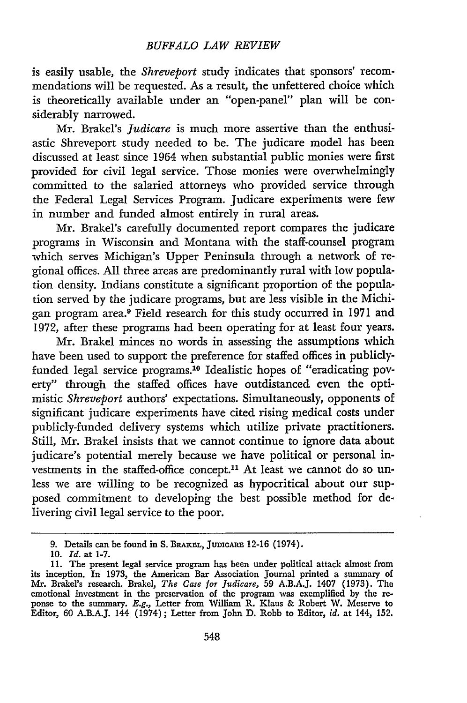#### *BUFFALO LAW REVIEW*

is easily usable, the *Shreveport* study indicates that sponsors' recommendations will be requested. As a result, the unfettered choice which is theoretically available under an "open-panel" plan will be considerably narrowed.

Mr. Brakel's *Judicare* is much more assertive than the enthusiastic Shreveport study needed to be. The judicare model has been discussed at least since 1964 when substantial public monies were first provided for civil legal service. Those monies were overwhelmingly committed to the salaried attorneys who provided service through the Federal Legal Services Program. Judicare experiments were few in number and funded almost entirely in rural areas.

Mr. Brakel's carefully documented report compares the judicare programs in Wisconsin and Montana with the staff-counsel program which serves Michigan's Upper Peninsula through a network of regional offices. **All** three areas are predominantly rural with low population density. Indians constitute a significant proportion of the population served by the judicare programs, but are less visible in the Michigan program area.9 Field research for this study occurred in **1971** and 1972, after these programs had been operating for at least four years.

Mr. Brakel minces no words in assessing the assumptions which have been used to support the preference for staffed offices in publiclyfunded legal service programs. 10 Idealistic hopes of "eradicating poverty" through the staffed offices have outdistanced even the optimistic *Shreveport* authors' expectations. Simultaneously, opponents of significant judicare experiments have cited rising medical costs under publicly-funded delivery systems which utilize private practitioners. Still, Mr. Brakel insists that we cannot continue to ignore data about judicare's potential merely because we have political or personal investments in the staffed-office concept.<sup>11</sup> At least we cannot do so unless we are willing to be recognized as hypocritical about our supposed commitment to developing the best possible method for delivering civil legal service to the poor.

**<sup>9.</sup>** Details can be found in **S. BRAKEL, JUDICARE 12-16** (1974).

**<sup>10.</sup>** *Id.* at **1-7.**

**<sup>11.</sup>** The present legal service program has been under political attack almost from its inception. In 1973, the American Bar Association Journal printed a summary of Mr. Brakel's research. Brakel, *The Case for Judicare,* **59 A.B.A.J.** 1407 **(1973).** The emotional investment in the preservation of the program was exemplified **by** the reponse to the summary. *E.g.,* Letter from William R. Klaus & Robert W. Meserve to Editor, **60** A.B.A.J. 144 (1974); Letter from John **D.** Robb to Editor, *id.* at 144, 152.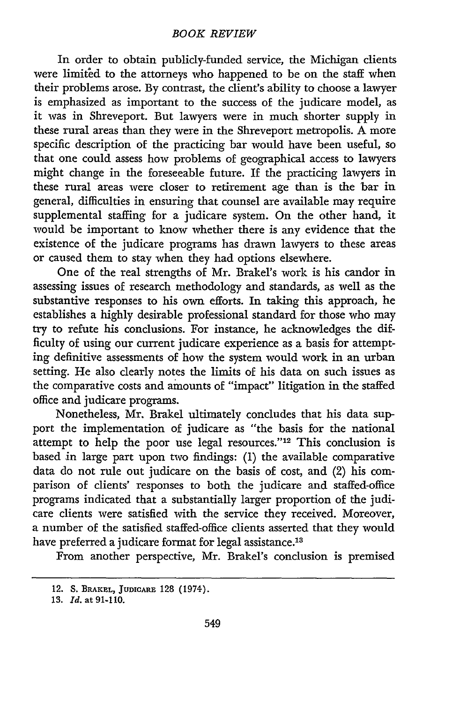In order to obtain publicly-funded service, the Michigan clients were limited to the attorneys who happened to be on the staff when their problems arose. By contrast, the client's ability to choose a lawyer is emphasized as important to the success of the judicare model, as it was in Shreveport. But lawyers were in much shorter supply in these rural areas than they were in the Shreveport metropolis. A more specific description of the practicing bar would have been useful, so that one could assess how problems of geographical access to lawyers might change in the foreseeable future. If the practicing lawyers in these rural areas were closer to retirement age than is the bar in general, difficulties in ensuring that counsel are available may require supplemental staffing for a judicare system. On the other hand, it would be important to know whether there is any evidence that the existence of the judicare programs has drawn lawyers to these areas or caused them to stay when they had options elsewhere.

One of the real strengths of Mr. Brakel's work is his candor in assessing issues of research methodology and standards, as well as the substantive responses to his own efforts. In taking this approach, he establishes a highly desirable professional standard for those who may try to refute his conclusions. For instance, he acknowledges the difficulty of using our current judicare experience as a basis for attempting definitive assessments of how the system would work in an urban setting. He also clearly notes the limits of his data on such issues as the comparative costs and amounts of "impact" litigation in the staffed office and judicare programs.

Nonetheless, Mr. Brakel ultimately concludes that his data support the implementation of judicare as "the basis for the national attempt to help the poor use legal resources."<sup>12</sup> This conclusion is based in large part upon two findings: (1) the available comparative data do not rule out judicare on the basis of cost, and (2) his comparison of clients' responses to both the judicare and staffed-office programs indicated that a substantially larger proportion of the judicare clients were satisfied with the service they received. Moreover, a number of the satisfied staffed-office clients asserted that they would have preferred a judicare format for legal assistance.<sup>13</sup>

From another perspective, Mr. Brakel's conclusion is premised

<sup>12.</sup> **S. BRAKEL, JUDICARE 128** (1974).

**<sup>13.</sup>** *Id.* at 91-110.